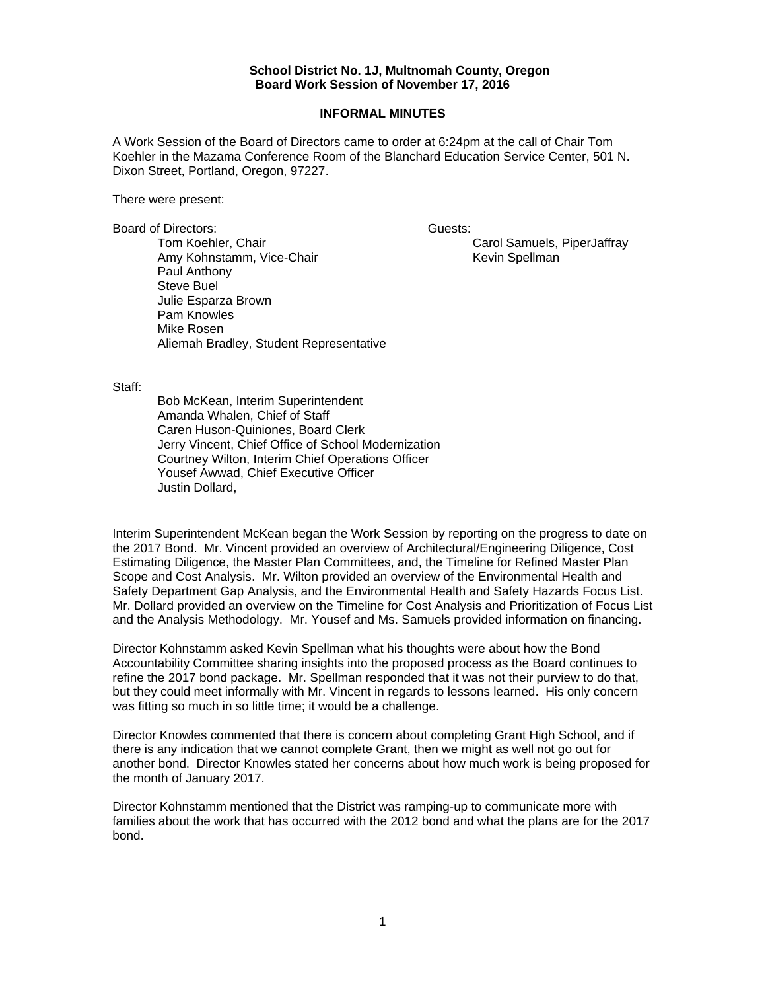## **School District No. 1J, Multnomah County, Oregon Board Work Session of November 17, 2016**

## **INFORMAL MINUTES**

A Work Session of the Board of Directors came to order at 6:24pm at the call of Chair Tom Koehler in the Mazama Conference Room of the Blanchard Education Service Center, 501 N. Dixon Street, Portland, Oregon, 97227.

There were present:

Board of Directors: Guests: Guests:

Tom Koehler, Chair Carol Samuels, PiperJaffray Amy Kohnstamm, Vice-Chair **Keyin Spellman** Kevin Spellman Paul Anthony Steve Buel Julie Esparza Brown Pam Knowles Mike Rosen Aliemah Bradley, Student Representative

## Staff:

 Bob McKean, Interim Superintendent Amanda Whalen, Chief of Staff Caren Huson-Quiniones, Board Clerk Jerry Vincent, Chief Office of School Modernization Courtney Wilton, Interim Chief Operations Officer Yousef Awwad, Chief Executive Officer Justin Dollard,

Interim Superintendent McKean began the Work Session by reporting on the progress to date on the 2017 Bond. Mr. Vincent provided an overview of Architectural/Engineering Diligence, Cost Estimating Diligence, the Master Plan Committees, and, the Timeline for Refined Master Plan Scope and Cost Analysis. Mr. Wilton provided an overview of the Environmental Health and Safety Department Gap Analysis, and the Environmental Health and Safety Hazards Focus List. Mr. Dollard provided an overview on the Timeline for Cost Analysis and Prioritization of Focus List and the Analysis Methodology. Mr. Yousef and Ms. Samuels provided information on financing.

Director Kohnstamm asked Kevin Spellman what his thoughts were about how the Bond Accountability Committee sharing insights into the proposed process as the Board continues to refine the 2017 bond package. Mr. Spellman responded that it was not their purview to do that, but they could meet informally with Mr. Vincent in regards to lessons learned. His only concern was fitting so much in so little time; it would be a challenge.

Director Knowles commented that there is concern about completing Grant High School, and if there is any indication that we cannot complete Grant, then we might as well not go out for another bond. Director Knowles stated her concerns about how much work is being proposed for the month of January 2017.

Director Kohnstamm mentioned that the District was ramping-up to communicate more with families about the work that has occurred with the 2012 bond and what the plans are for the 2017 bond.